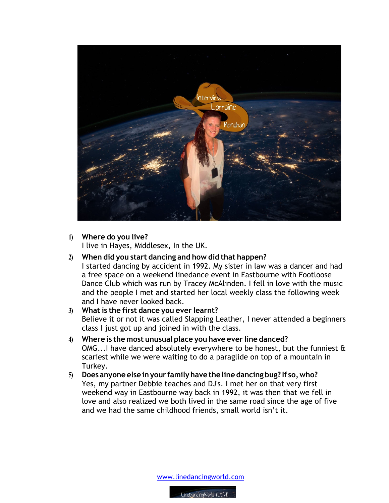

#### **1) Where do you live?**

I live in Hayes, Middlesex, In the UK.

## **2) When did you start dancing and how did that happen?**

I started dancing by accident in 1992. My sister in law was a dancer and had a free space on a weekend linedance event in Eastbourne with Footloose Dance Club which was run by Tracey McAlinden. I fell in love with the music and the people I met and started her local weekly class the following week and I have never looked back.

# **3) What is the first dance you ever learnt?**

Believe it or not it was called Slapping Leather, I never attended a beginners class I just got up and joined in with the class.

- **4) Where is the most unusual place you have ever line danced?** OMG...I have danced absolutely everywhere to be honest, but the funniest & scariest while we were waiting to do a paraglide on top of a mountain in Turkey.
- **5) Does anyone else inyour familyhave the line dancing bug? If so,who?** Yes, my partner Debbie teaches and DJ's. I met her on that very first weekend way in Eastbourne way back in 1992, it was then that we fell in love and also realized we both lived in the same road since the age of five and we had the same childhood friends, small world isn't it.

www.linedancingworld.com

LineDancingWorld (LDW)